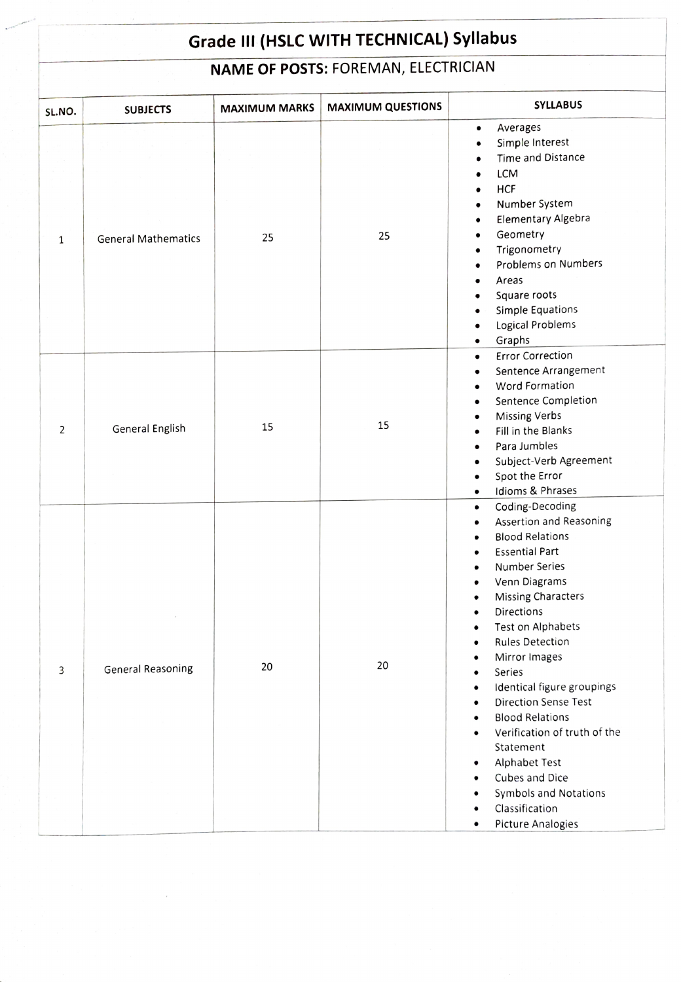## Grade Ill (HSLC WITH TECHNICAL) Syllabus

## NAME OF POSTS: FOREMAN, ELECTRICIAN

| SL.NO.         | <b>SUBJECTS</b>            | <b>MAXIMUM MARKS</b> | <b>MAXIMUM QUESTIONS</b> | <b>SYLLABUS</b>                                                                                                                                                                                                                                                                                                                                                                                                                                                                                                                                                                     |
|----------------|----------------------------|----------------------|--------------------------|-------------------------------------------------------------------------------------------------------------------------------------------------------------------------------------------------------------------------------------------------------------------------------------------------------------------------------------------------------------------------------------------------------------------------------------------------------------------------------------------------------------------------------------------------------------------------------------|
| $\mathbf{1}$   | <b>General Mathematics</b> | 25                   | 25                       | Averages<br>$\bullet$<br>Simple Interest<br>$\bullet$<br>Time and Distance<br>LCM<br><b>HCF</b><br>Number System<br>$\bullet$<br><b>Elementary Algebra</b><br>$\bullet$<br>Geometry<br>$\bullet$<br>Trigonometry<br>$\bullet$<br><b>Problems on Numbers</b><br>Areas<br>Square roots<br>Simple Equations<br>Logical Problems<br>$\bullet$<br>Graphs<br>$\bullet$                                                                                                                                                                                                                    |
| $\overline{2}$ | General English            | 15                   | 15                       | <b>Error Correction</b><br>$\bullet$<br>Sentence Arrangement<br>$\bullet$<br>Word Formation<br>$\bullet$<br>Sentence Completion<br>$\bullet$<br><b>Missing Verbs</b><br>$\bullet$<br>Fill in the Blanks<br>Para Jumbles<br>Subject-Verb Agreement<br>$\bullet$<br>Spot the Error<br>$\bullet$<br>Idioms & Phrases<br>$\bullet$                                                                                                                                                                                                                                                      |
| 3              | <b>General Reasoning</b>   | 20                   | 20                       | Coding-Decoding<br>$\bullet$<br>Assertion and Reasoning<br>$\bullet$<br><b>Blood Relations</b><br><b>Essential Part</b><br><b>Number Series</b><br>Venn Diagrams<br><b>Missing Characters</b><br>Directions<br>Test on Alphabets<br>٠<br><b>Rules Detection</b><br>Mirror Images<br>Series<br>٠<br>Identical figure groupings<br>$\bullet$<br><b>Direction Sense Test</b><br>$\bullet$<br><b>Blood Relations</b><br>Verification of truth of the<br>Statement<br><b>Alphabet Test</b><br>Cubes and Dice<br>Symbols and Notations<br>Classification<br><b>Picture Analogies</b><br>٠ |